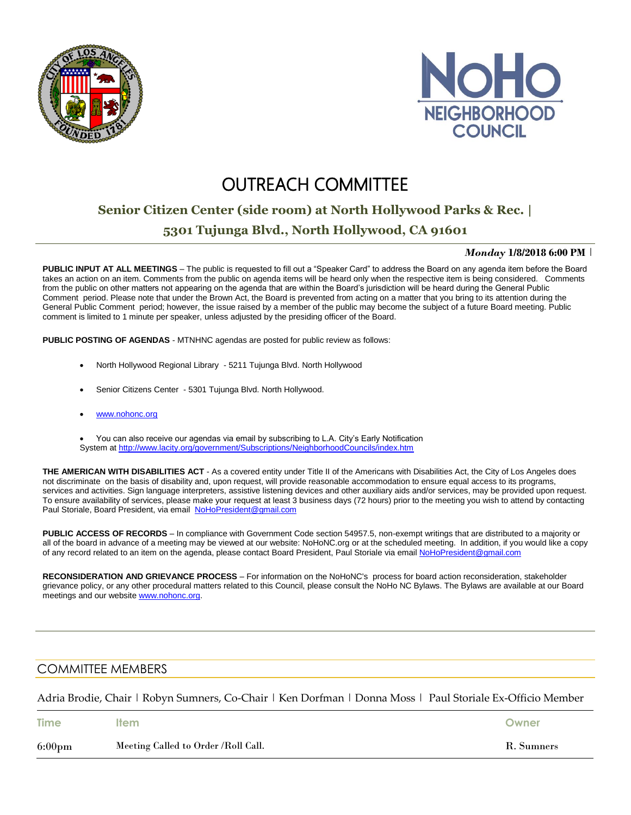



# **OUTREACH COMMITTEE**

## **Senior Citizen Center (side room) at North Hollywood Parks & Rec. |**

### **5301 Tujunga Blvd., North Hollywood, CA 91601**

#### *Monday* **1/8/2018 6:00 PM** |

**PUBLIC INPUT AT ALL MEETINGS** – The public is requested to fill out a "Speaker Card" to address the Board on any agenda item before the Board takes an action on an item. Comments from the public on agenda items will be heard only when the respective item is being considered. Comments from the public on other matters not appearing on the agenda that are within the Board's jurisdiction will be heard during the General Public Comment period. Please note that under the Brown Act, the Board is prevented from acting on a matter that you bring to its attention during the General Public Comment period; however, the issue raised by a member of the public may become the subject of a future Board meeting. Public comment is limited to 1 minute per speaker, unless adjusted by the presiding officer of the Board.

**PUBLIC POSTING OF AGENDAS** - MTNHNC agendas are posted for public review as follows:

- North Hollywood Regional Library 5211 Tujunga Blvd. North Hollywood
- Senior Citizens Center 5301 Tujunga Blvd. North Hollywood.
- [www.nohonc.org](http://www.nohonc.org/)

 You can also receive our agendas via email by subscribing to L.A. City's Early Notification System at <http://www.lacity.org/government/Subscriptions/NeighborhoodCouncils/index.htm>

**THE AMERICAN WITH DISABILITIES ACT** - As a covered entity under Title II of the Americans with Disabilities Act, the City of Los Angeles does not discriminate on the basis of disability and, upon request, will provide reasonable accommodation to ensure equal access to its programs, services and activities. Sign language interpreters, assistive listening devices and other auxiliary aids and/or services, may be provided upon request. To ensure availability of services, please make your request at least 3 business days (72 hours) prior to the meeting you wish to attend by contacting Paul Storiale, Board President, via email [NoHoPresident@gmail.com](mailto:NoHoPresident@gmail.com)

**PUBLIC ACCESS OF RECORDS** – In compliance with Government Code section 54957.5, non-exempt writings that are distributed to a majority or all of the board in advance of a meeting may be viewed at our website: NoHoNC.org or at the scheduled meeting. In addition, if you would like a copy of any record related to an item on the agenda, please contact Board President, Paul Storiale via email [NoHoPresident@gmail.com](mailto:NoHoPresident@gmail.com)

**RECONSIDERATION AND GRIEVANCE PROCESS** – For information on the NoHoNC's process for board action reconsideration, stakeholder grievance policy, or any other procedural matters related to this Council, please consult the NoHo NC Bylaws. The Bylaws are available at our Board meetings and our website [www.nohonc.org.](http://www.nohonc.org/)

### COMMITTEE MEMBERS

Adria Brodie, Chair | Robyn Sumners, Co-Chair | Ken Dorfman | Donna Moss | Paul Storiale Ex-Officio Member

| <b>Time</b>      | ltem                                | Owner      |
|------------------|-------------------------------------|------------|
| $6:00 \text{pm}$ | Meeting Called to Order /Roll Call. | R. Sumners |